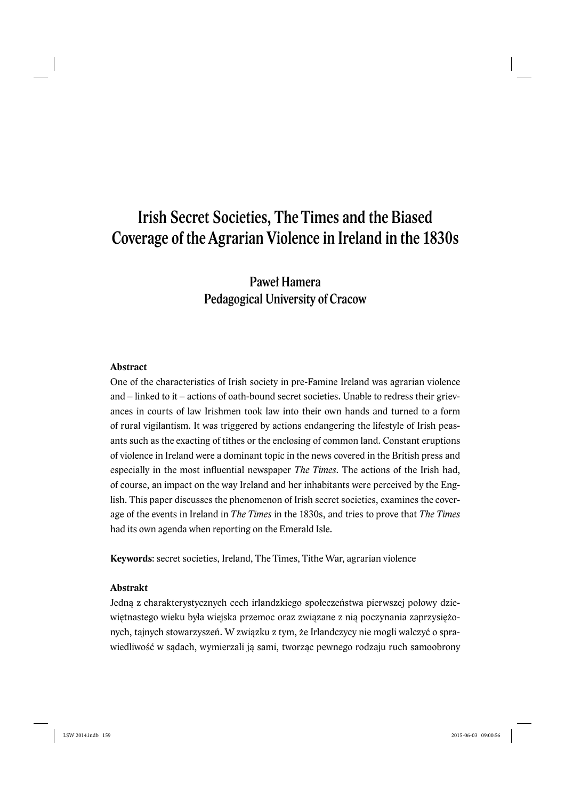# Irish Secret Societies, The Times and the Biased Coverage of the Agrarian Violence in Ireland in the 1830s

# Paweł Hamera Pedagogical University of Cracow

### **Abstract**

One of the characteristics of Irish society in pre-Famine Ireland was agrarian violence and – linked to it – actions of oath-bound secret societies. Unable to redress their grievances in courts of law Irishmen took law into their own hands and turned to a form of rural vigilantism. It was triggered by actions endangering the lifestyle of Irish peasants such as the exacting of tithes or the enclosing of common land. Constant eruptions of violence in Ireland were a dominant topic in the news covered in the British press and especially in the most influential newspaper *The Times*. The actions of the Irish had, of course, an impact on the way Ireland and her inhabitants were perceived by the English. This paper discusses the phenomenon of Irish secret societies, examines the coverage of the events in Ireland in *The Times* in the 1830s, and tries to prove that *The Times* had its own agenda when reporting on the Emerald Isle.

**Keywords**: secret societies, Ireland, The Times, Tithe War, agrarian violence

### **Abstrakt**

Jedną z charakterystycznych cech irlandzkiego społeczeństwa pierwszej połowy dziewiętnastego wieku była wiejska przemoc oraz związane z nią poczynania zaprzysiężonych, tajnych stowarzyszeń. W związku z tym, że Irlandczycy nie mogli walczyć o sprawiedliwość w sądach, wymierzali ją sami, tworząc pewnego rodzaju ruch samoobrony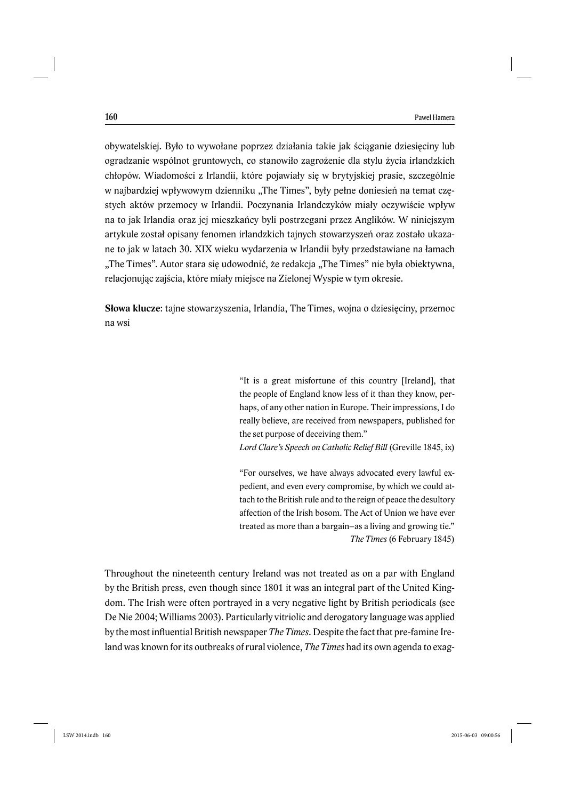obywatelskiej. Było to wywołane poprzez działania takie jak ściąganie dziesięciny lub ogradzanie wspólnot gruntowych, co stanowiło zagrożenie dla stylu życia irlandzkich chłopów. Wiadomości z Irlandii, które pojawiały się w brytyjskiej prasie, szczególnie w najbardziej wpływowym dzienniku "The Times", były pełne doniesień na temat częstych aktów przemocy w Irlandii. Poczynania Irlandczyków miały oczywiście wpływ na to jak Irlandia oraz jej mieszkańcy byli postrzegani przez Anglików. W niniejszym artykule został opisany fenomen irlandzkich tajnych stowarzyszeń oraz zostało ukazane to jak w latach 30. XIX wieku wydarzenia w Irlandii były przedstawiane na łamach "The Times". Autor stara się udowodnić, że redakcja "The Times" nie była obiektywna, relacjonując zajścia, które miały miejsce na Zielonej Wyspie w tym okresie.

**Słowa klucze**: tajne stowarzyszenia, Irlandia, The Times, wojna o dziesięciny, przemoc na wsi

> "It is a great misfortune of this country [Ireland], that the people of England know less of it than they know, perhaps, of any other nation in Europe. Their impressions, I do really believe, are received from newspapers, published for the set purpose of deceiving them."

> *Lord Clare's Speech on Catholic Relief Bill* (Greville 1845, ix)

"For ourselves, we have always advocated every lawful expedient, and even every compromise, by which we could attach to the British rule and to the reign of peace the desultory affection of the Irish bosom. The Act of Union we have ever treated as more than a bargain–as a living and growing tie." *The Times* (6 February 1845)

Throughout the nineteenth century Ireland was not treated as on a par with England by the British press, even though since 1801 it was an integral part of the United Kingdom. The Irish were often portrayed in a very negative light by British periodicals (see De Nie 2004; Williams 2003). Particularly vitriolic and derogatory language was applied by the most infl uential British newspaper *The Times*. Despite the fact that pre-famine Ireland was known for its outbreaks of rural violence, *The Times* had its own agenda to exag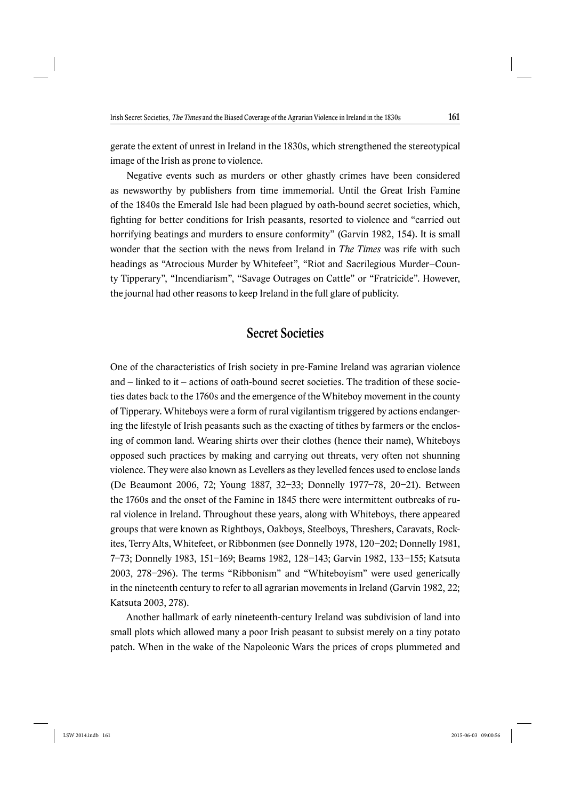gerate the extent of unrest in Ireland in the 1830s, which strengthened the stereotypical image of the Irish as prone to violence.

Negative events such as murders or other ghastly crimes have been considered as newsworthy by publishers from time immemorial. Until the Great Irish Famine of the 1840s the Emerald Isle had been plagued by oath-bound secret societies, which, fighting for better conditions for Irish peasants, resorted to violence and "carried out horrifying beatings and murders to ensure conformity" (Garvin 1982, 154). It is small wonder that the section with the news from Ireland in *The Times* was rife with such headings as "Atrocious Murder by Whitefeet", "Riot and Sacrilegious Murder–County Tipperary", "Incendiarism", "Savage Outrages on Cattle" or "Fratricide". However, the journal had other reasons to keep Ireland in the full glare of publicity.

### Secret Societies

One of the characteristics of Irish society in pre-Famine Ireland was agrarian violence and – linked to it – actions of oath-bound secret societies. The tradition of these societies dates back to the 1760s and the emergence of the Whiteboy movement in the county of Tipperary. Whiteboys were a form of rural vigilantism triggered by actions endangering the lifestyle of Irish peasants such as the exacting of tithes by farmers or the enclosing of common land. Wearing shirts over their clothes (hence their name), Whiteboys opposed such practices by making and carrying out threats, very often not shunning violence. They were also known as Levellers as they levelled fences used to enclose lands (De Beaumont 2006, 72; Young 1887, 32–33; Donnelly 1977–78, 20–21). Between the 1760s and the onset of the Famine in 1845 there were intermittent outbreaks of rural violence in Ireland. Throughout these years, along with Whiteboys, there appeared groups that were known as Rightboys, Oakboys, Steelboys, Threshers, Caravats, Rockites, Terry Alts, Whitefeet, or Ribbonmen (see Donnelly 1978, 120–202; Donnelly 1981, 7–73; Donnelly 1983, 151–169; Beams 1982, 128–143; Garvin 1982, 133–155; Katsuta 2003, 278–296). The terms "Ribbonism" and "Whiteboyism" were used generically in the nineteenth century to refer to all agrarian movements in Ireland (Garvin 1982, 22; Katsuta 2003, 278).

Another hallmark of early nineteenth-century Ireland was subdivision of land into small plots which allowed many a poor Irish peasant to subsist merely on a tiny potato patch. When in the wake of the Napoleonic Wars the prices of crops plummeted and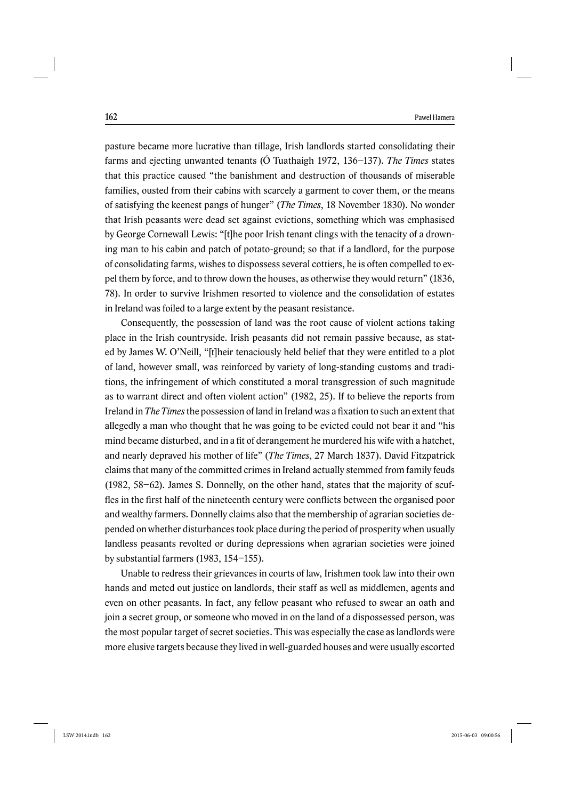pasture became more lucrative than tillage, Irish landlords started consolidating their farms and ejecting unwanted tenants (Ó Tuathaigh 1972, 136–137). *The Times* states that this practice caused "the banishment and destruction of thousands of miserable families, ousted from their cabins with scarcely a garment to cover them, or the means of satisfying the keenest pangs of hunger" (*The Times*, 18 November 1830). No wonder that Irish peasants were dead set against evictions, something which was emphasised by George Cornewall Lewis: "[t]he poor Irish tenant clings with the tenacity of a drowning man to his cabin and patch of potato-ground; so that if a landlord, for the purpose of consolidating farms, wishes to dispossess several cottiers, he is often compelled to expel them by force, and to throw down the houses, as otherwise they would return" (1836, 78). In order to survive Irishmen resorted to violence and the consolidation of estates in Ireland was foiled to a large extent by the peasant resistance.

Consequently, the possession of land was the root cause of violent actions taking place in the Irish countryside. Irish peasants did not remain passive because, as stated by James W. O'Neill, "[t]heir tenaciously held belief that they were entitled to a plot of land, however small, was reinforced by variety of long-standing customs and traditions, the infringement of which constituted a moral transgression of such magnitude as to warrant direct and often violent action" (1982, 25). If to believe the reports from Ireland in *The Times* the possession of land in Ireland was a fixation to such an extent that allegedly a man who thought that he was going to be evicted could not bear it and "his mind became disturbed, and in a fit of derangement he murdered his wife with a hatchet, and nearly depraved his mother of life" (*The Times*, 27 March 1837). David Fitzpatrick claims that many of the committed crimes in Ireland actually stemmed from family feuds (1982, 58–62). James S. Donnelly, on the other hand, states that the majority of scuffles in the first half of the nineteenth century were conflicts between the organised poor and wealthy farmers. Donnelly claims also that the membership of agrarian societies depended on whether disturbances took place during the period of prosperity when usually landless peasants revolted or during depressions when agrarian societies were joined by substantial farmers (1983, 154–155).

Unable to redress their grievances in courts of law, Irishmen took law into their own hands and meted out justice on landlords, their staff as well as middlemen, agents and even on other peasants. In fact, any fellow peasant who refused to swear an oath and join a secret group, or someone who moved in on the land of a dispossessed person, was the most popular target of secret societies. This was especially the case as landlords were more elusive targets because they lived in well-guarded houses and were usually escorted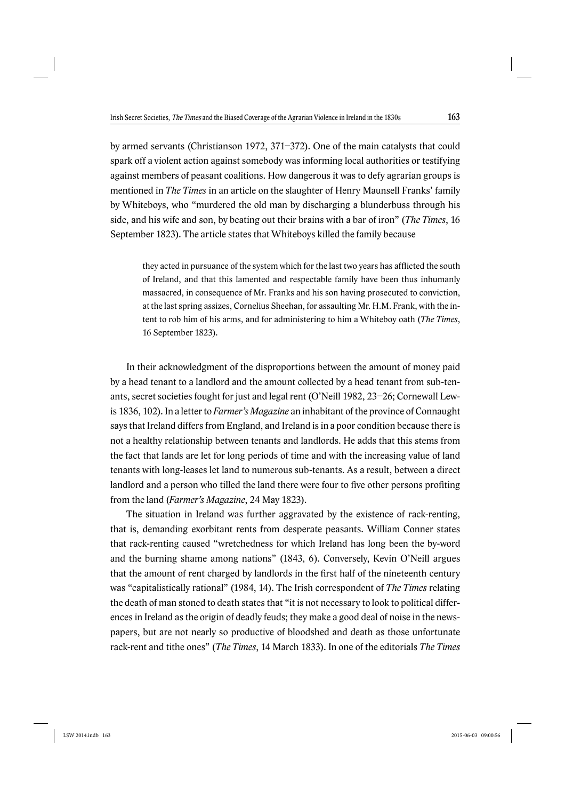by armed servants (Christianson 1972, 371–372). One of the main catalysts that could spark off a violent action against somebody was informing local authorities or testifying against members of peasant coalitions. How dangerous it was to defy agrarian groups is mentioned in *The Times* in an article on the slaughter of Henry Maunsell Franks' family by Whiteboys, who "murdered the old man by discharging a blunderbuss through his side, and his wife and son, by beating out their brains with a bar of iron" (*The Times*, 16 September 1823). The article states that Whiteboys killed the family because

they acted in pursuance of the system which for the last two years has afflicted the south of Ireland, and that this lamented and respectable family have been thus inhumanly massacred, in consequence of Mr. Franks and his son having prosecuted to conviction, at the last spring assizes, Cornelius Sheehan, for assaulting Mr. H.M. Frank, with the intent to rob him of his arms, and for administering to him a Whiteboy oath (*The Times*, 16 September 1823).

In their acknowledgment of the disproportions between the amount of money paid by a head tenant to a landlord and the amount collected by a head tenant from sub-tenants, secret societies fought for just and legal rent (O'Neill 1982, 23–26; Cornewall Lewis 1836, 102). In a letter to *Farmer's Magazine* an inhabitant of the province of Connaught says that Ireland differs from England, and Ireland is in a poor condition because there is not a healthy relationship between tenants and landlords. He adds that this stems from the fact that lands are let for long periods of time and with the increasing value of land tenants with long-leases let land to numerous sub-tenants. As a result, between a direct landlord and a person who tilled the land there were four to five other persons profiting from the land (*Farmer's Magazine*, 24 May 1823).

The situation in Ireland was further aggravated by the existence of rack-renting, that is, demanding exorbitant rents from desperate peasants. William Conner states that rack-renting caused "wretchedness for which Ireland has long been the by-word and the burning shame among nations" (1843, 6). Conversely, Kevin O'Neill argues that the amount of rent charged by landlords in the first half of the nineteenth century was "capitalistically rational" (1984, 14). The Irish correspondent of *The Times* relating the death of man stoned to death states that "it is not necessary to look to political differences in Ireland as the origin of deadly feuds; they make a good deal of noise in the newspapers, but are not nearly so productive of bloodshed and death as those unfortunate rack-rent and tithe ones" (*The Times*, 14 March 1833). In one of the editorials *The Times*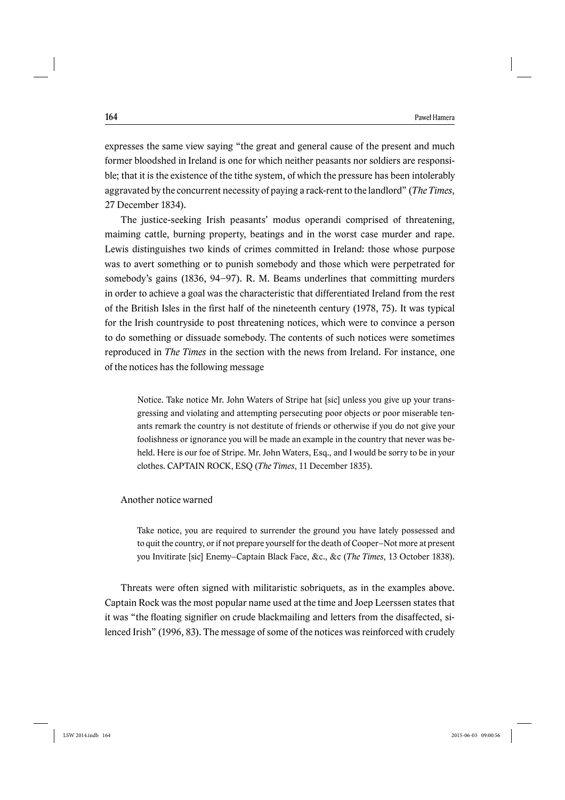expresses the same view saying "the great and general cause of the present and much former bloodshed in Ireland is one for which neither peasants nor soldiers are responsible; that it is the existence of the tithe system, of which the pressure has been intolerably aggravated by the concurrent necessity of paying a rack-rent to the landlord" (*The Times*, 27 December 1834).

The justice-seeking Irish peasants' modus operandi comprised of threatening, maiming cattle, burning property, beatings and in the worst case murder and rape. Lewis distinguishes two kinds of crimes committed in Ireland: those whose purpose was to avert something or to punish somebody and those which were perpetrated for somebody's gains (1836, 94–97). R. M. Beams underlines that committing murders in order to achieve a goal was the characteristic that differentiated Ireland from the rest of the British Isles in the first half of the nineteenth century  $(1978, 75)$ . It was typical for the Irish countryside to post threatening notices, which were to convince a person to do something or dissuade somebody. The contents of such notices were sometimes reproduced in *The Times* in the section with the news from Ireland. For instance, one of the notices has the following message

Notice. Take notice Mr. John Waters of Stripe hat [sic] unless you give up your transgressing and violating and attempting persecuting poor objects or poor miserable tenants remark the country is not destitute of friends or otherwise if you do not give your foolishness or ignorance you will be made an example in the country that never was beheld. Here is our foe of Stripe. Mr. John Waters, Esq., and I would be sorry to be in your clothes. CAPTAIN ROCK, ESQ (*The Times*, 11 December 1835).

Another notice warned

Take notice, you are required to surrender the ground you have lately possessed and to quit the country, or if not prepare yourself for the death of Cooper–Not more at present you Invitirate [sic] Enemy–Captain Black Face, &c., &c (*The Times*, 13 October 1838).

Threats were often signed with militaristic sobriquets, as in the examples above. Captain Rock was the most popular name used at the time and Joep Leerssen states that it was "the floating signifier on crude blackmailing and letters from the disaffected, silenced Irish" (1996, 83). The message of some of the notices was reinforced with crudely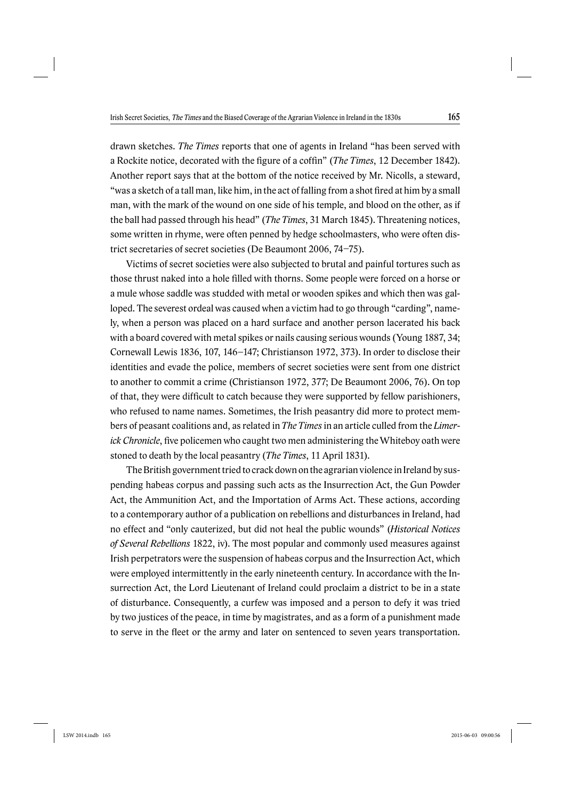drawn sketches. *The Times* reports that one of agents in Ireland "has been served with a Rockite notice, decorated with the figure of a coffin" (*The Times*, 12 December 1842). Another report says that at the bottom of the notice received by Mr. Nicolls, a steward, "was a sketch of a tall man, like him, in the act of falling from a shot fired at him by a small man, with the mark of the wound on one side of his temple, and blood on the other, as if the ball had passed through his head" (*The Times*, 31 March 1845). Threatening notices, some written in rhyme, were often penned by hedge schoolmasters, who were often district secretaries of secret societies (De Beaumont 2006, 74–75).

Victims of secret societies were also subjected to brutal and painful tortures such as those thrust naked into a hole filled with thorns. Some people were forced on a horse or a mule whose saddle was studded with metal or wooden spikes and which then was galloped. The severest ordeal was caused when a victim had to go through "carding", namely, when a person was placed on a hard surface and another person lacerated his back with a board covered with metal spikes or nails causing serious wounds (Young 1887, 34; Cornewall Lewis 1836, 107, 146–147; Christianson 1972, 373). In order to disclose their identities and evade the police, members of secret societies were sent from one district to another to commit a crime (Christianson 1972, 377; De Beaumont 2006, 76). On top of that, they were difficult to catch because they were supported by fellow parishioners, who refused to name names. Sometimes, the Irish peasantry did more to protect members of peasant coalitions and, as related in *The Times* in an article culled from the *Limerick Chronicle*, five policemen who caught two men administering the Whiteboy oath were stoned to death by the local peasantry (*The Times*, 11 April 1831).

The British government tried to crack down on the agrarian violence in Ireland by suspending habeas corpus and passing such acts as the Insurrection Act, the Gun Powder Act, the Ammunition Act, and the Importation of Arms Act. These actions, according to a contemporary author of a publication on rebellions and disturbances in Ireland, had no effect and "only cauterized, but did not heal the public wounds" (*Historical Notices of Several Rebellions* 1822, iv). The most popular and commonly used measures against Irish perpetrators were the suspension of habeas corpus and the Insurrection Act, which were employed intermittently in the early nineteenth century. In accordance with the Insurrection Act, the Lord Lieutenant of Ireland could proclaim a district to be in a state of disturbance. Consequently, a curfew was imposed and a person to defy it was tried by two justices of the peace, in time by magistrates, and as a form of a punishment made to serve in the fleet or the army and later on sentenced to seven years transportation.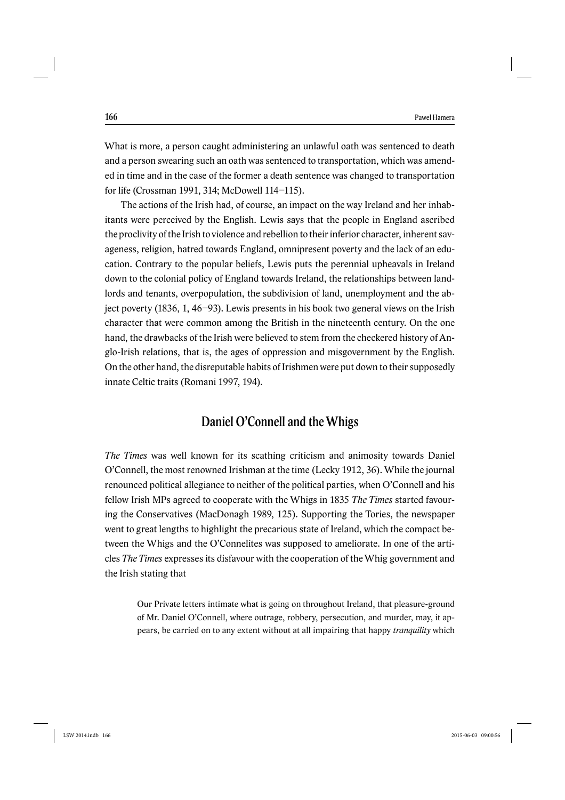What is more, a person caught administering an unlawful oath was sentenced to death and a person swearing such an oath was sentenced to transportation, which was amended in time and in the case of the former a death sentence was changed to transportation for life (Crossman 1991, 314; McDowell 114–115).

The actions of the Irish had, of course, an impact on the way Ireland and her inhabitants were perceived by the English. Lewis says that the people in England ascribed the proclivity of the Irish to violence and rebellion to their inferior character, inherent savageness, religion, hatred towards England, omnipresent poverty and the lack of an education. Contrary to the popular beliefs, Lewis puts the perennial upheavals in Ireland down to the colonial policy of England towards Ireland, the relationships between landlords and tenants, overpopulation, the subdivision of land, unemployment and the abject poverty (1836, 1, 46–93). Lewis presents in his book two general views on the Irish character that were common among the British in the nineteenth century. On the one hand, the drawbacks of the Irish were believed to stem from the checkered history of Anglo-Irish relations, that is, the ages of oppression and misgovernment by the English. On the other hand, the disreputable habits of Irishmen were put down to their supposedly innate Celtic traits (Romani 1997, 194).

### Daniel O'Connell and the Whigs

*The Times* was well known for its scathing criticism and animosity towards Daniel O'Connell, the most renowned Irishman at the time (Lecky 1912, 36). While the journal renounced political allegiance to neither of the political parties, when O'Connell and his fellow Irish MPs agreed to cooperate with the Whigs in 1835 *The Times* started favouring the Conservatives (MacDonagh 1989, 125). Supporting the Tories, the newspaper went to great lengths to highlight the precarious state of Ireland, which the compact between the Whigs and the O'Connelites was supposed to ameliorate. In one of the articles *The Times* expresses its disfavour with the cooperation of the Whig government and the Irish stating that

Our Private letters intimate what is going on throughout Ireland, that pleasure-ground of Mr. Daniel O'Connell, where outrage, robbery, persecution, and murder, may, it appears, be carried on to any extent without at all impairing that happy *tranquility* which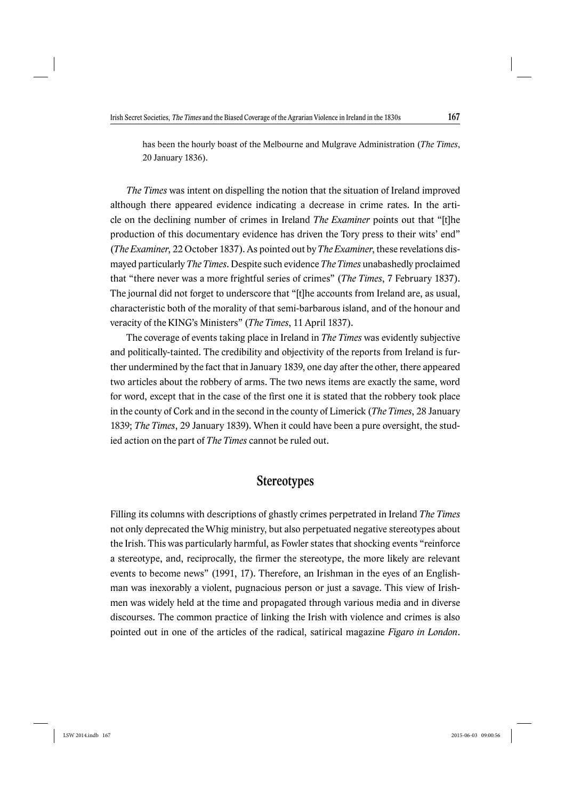has been the hourly boast of the Melbourne and Mulgrave Administration (*The Times*, 20 January 1836).

*The Times* was intent on dispelling the notion that the situation of Ireland improved although there appeared evidence indicating a decrease in crime rates. In the article on the declining number of crimes in Ireland *The Examiner* points out that "[t]he production of this documentary evidence has driven the Tory press to their wits' end" (*The Examiner*, 22 October 1837). As pointed out by *The Examiner*, these revelations dismayed particularly *The Times*. Despite such evidence *The Times* unabashedly proclaimed that "there never was a more frightful series of crimes" (*The Times*, 7 February 1837). The journal did not forget to underscore that "[t]he accounts from Ireland are, as usual, characteristic both of the morality of that semi-barbarous island, and of the honour and veracity of the KING's Ministers" (*The Times*, 11 April 1837).

The coverage of events taking place in Ireland in *The Times* was evidently subjective and politically-tainted. The credibility and objectivity of the reports from Ireland is further undermined by the fact that in January 1839, one day after the other, there appeared two articles about the robbery of arms. The two news items are exactly the same, word for word, except that in the case of the first one it is stated that the robbery took place in the county of Cork and in the second in the county of Limerick (*The Times*, 28 January 1839; *The Times*, 29 January 1839). When it could have been a pure oversight, the studied action on the part of *The Times* cannot be ruled out.

### **Stereotypes**

Filling its columns with descriptions of ghastly crimes perpetrated in Ireland *The Times*  not only deprecated the Whig ministry, but also perpetuated negative stereotypes about the Irish. This was particularly harmful, as Fowler states that shocking events "reinforce a stereotype, and, reciprocally, the firmer the stereotype, the more likely are relevant events to become news" (1991, 17). Therefore, an Irishman in the eyes of an Englishman was inexorably a violent, pugnacious person or just a savage. This view of Irishmen was widely held at the time and propagated through various media and in diverse discourses. The common practice of linking the Irish with violence and crimes is also pointed out in one of the articles of the radical, satirical magazine *Figaro in London*.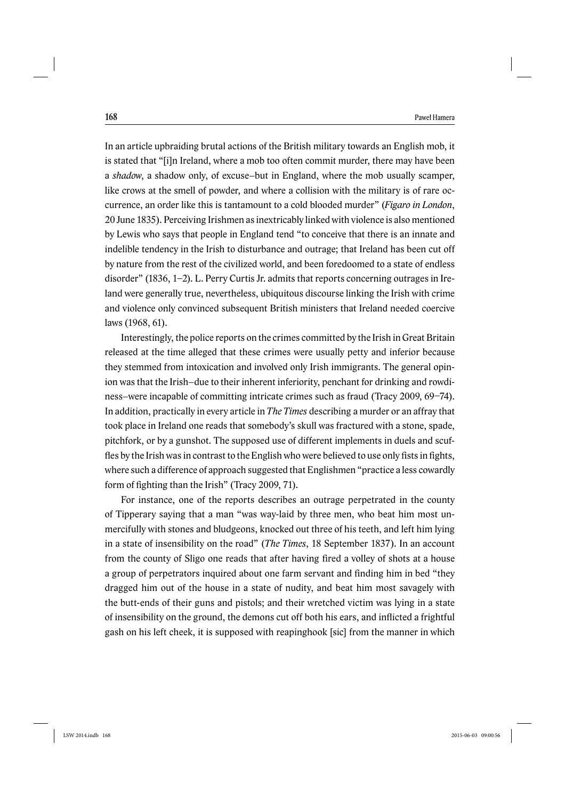In an article upbraiding brutal actions of the British military towards an English mob, it is stated that "[i]n Ireland, where a mob too often commit murder, there may have been a *shadow*, a shadow only, of excuse–but in England, where the mob usually scamper, like crows at the smell of powder, and where a collision with the military is of rare occurrence, an order like this is tantamount to a cold blooded murder" (*Figaro in London*, 20 June 1835). Perceiving Irishmen as inextricably linked with violence is also mentioned by Lewis who says that people in England tend "to conceive that there is an innate and indelible tendency in the Irish to disturbance and outrage; that Ireland has been cut off by nature from the rest of the civilized world, and been foredoomed to a state of endless disorder" (1836, 1–2). L. Perry Curtis Jr. admits that reports concerning outrages in Ireland were generally true, nevertheless, ubiquitous discourse linking the Irish with crime and violence only convinced subsequent British ministers that Ireland needed coercive laws (1968, 61).

Interestingly, the police reports on the crimes committed by the Irish in Great Britain released at the time alleged that these crimes were usually petty and inferior because they stemmed from intoxication and involved only Irish immigrants. The general opinion was that the Irish–due to their inherent inferiority, penchant for drinking and rowdiness–were incapable of committing intricate crimes such as fraud (Tracy 2009, 69–74). In addition, practically in every article in *The Times* describing a murder or an affray that took place in Ireland one reads that somebody's skull was fractured with a stone, spade, pitchfork, or by a gunshot. The supposed use of different implements in duels and scuffles by the Irish was in contrast to the English who were believed to use only fists in fights, where such a difference of approach suggested that Englishmen "practice a less cowardly form of fighting than the Irish" (Tracy 2009, 71).

For instance, one of the reports describes an outrage perpetrated in the county of Tipperary saying that a man "was way-laid by three men, who beat him most unmercifully with stones and bludgeons, knocked out three of his teeth, and left him lying in a state of insensibility on the road" (*The Times*, 18 September 1837). In an account from the county of Sligo one reads that after having fired a volley of shots at a house a group of perpetrators inquired about one farm servant and finding him in bed "they dragged him out of the house in a state of nudity, and beat him most savagely with the butt-ends of their guns and pistols; and their wretched victim was lying in a state of insensibility on the ground, the demons cut off both his ears, and inflicted a frightful gash on his left cheek, it is supposed with reapinghook [sic] from the manner in which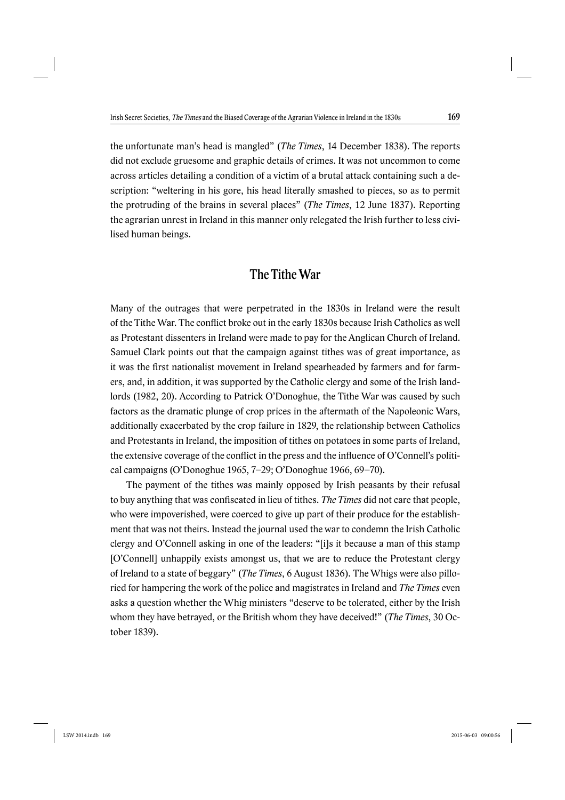the unfortunate man's head is mangled" (*The Times*, 14 December 1838). The reports did not exclude gruesome and graphic details of crimes. It was not uncommon to come across articles detailing a condition of a victim of a brutal attack containing such a description: "weltering in his gore, his head literally smashed to pieces, so as to permit the protruding of the brains in several places" (*The Times*, 12 June 1837). Reporting the agrarian unrest in Ireland in this manner only relegated the Irish further to less civilised human beings.

## The Tithe War

Many of the outrages that were perpetrated in the 1830s in Ireland were the result of the Tithe War. The conflict broke out in the early 1830s because Irish Catholics as well as Protestant dissenters in Ireland were made to pay for the Anglican Church of Ireland. Samuel Clark points out that the campaign against tithes was of great importance, as it was the first nationalist movement in Ireland spearheaded by farmers and for farmers, and, in addition, it was supported by the Catholic clergy and some of the Irish landlords (1982, 20). According to Patrick O'Donoghue, the Tithe War was caused by such factors as the dramatic plunge of crop prices in the aftermath of the Napoleonic Wars, additionally exacerbated by the crop failure in 1829, the relationship between Catholics and Protestants in Ireland, the imposition of tithes on potatoes in some parts of Ireland, the extensive coverage of the conflict in the press and the influence of O'Connell's political campaigns (O'Donoghue 1965, 7–29; O'Donoghue 1966, 69–70).

The payment of the tithes was mainly opposed by Irish peasants by their refusal to buy anything that was confiscated in lieu of tithes. *The Times* did not care that people, who were impoverished, were coerced to give up part of their produce for the establishment that was not theirs. Instead the journal used the war to condemn the Irish Catholic clergy and O'Connell asking in one of the leaders: "[i]s it because a man of this stamp [O'Connell] unhappily exists amongst us, that we are to reduce the Protestant clergy of Ireland to a state of beggary" (*The Times*, 6 August 1836). The Whigs were also pilloried for hampering the work of the police and magistrates in Ireland and *The Times* even asks a question whether the Whig ministers "deserve to be tolerated, either by the Irish whom they have betrayed, or the British whom they have deceived!" (*The Times*, 30 October 1839).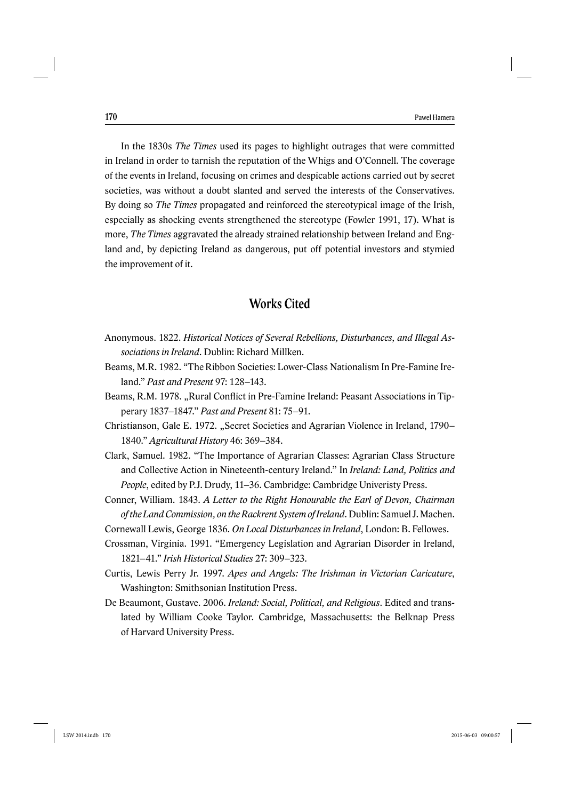In the 1830s *The Times* used its pages to highlight outrages that were committed in Ireland in order to tarnish the reputation of the Whigs and O'Connell. The coverage of the events in Ireland, focusing on crimes and despicable actions carried out by secret societies, was without a doubt slanted and served the interests of the Conservatives. By doing so *The Times* propagated and reinforced the stereotypical image of the Irish, especially as shocking events strengthened the stereotype (Fowler 1991, 17). What is more, *The Times* aggravated the already strained relationship between Ireland and England and, by depicting Ireland as dangerous, put off potential investors and stymied the improvement of it.

## Works Cited

- Anonymous. 1822. *Historical Notices of Several Rebellions, Disturbances, and Illegal Associations in Ireland*. Dublin: Richard Millken.
- Beams, M.R. 1982. "The Ribbon Societies: Lower-Class Nationalism In Pre-Famine Ireland." *Past and Present* 97: 128–143.
- Beams, R.M. 1978. "Rural Conflict in Pre-Famine Ireland: Peasant Associations in Tipperary 1837–1847." *Past and Present* 81: 75–91.
- Christianson, Gale E. 1972. "Secret Societies and Agrarian Violence in Ireland, 1790– 1840." *Agricultural History* 46: 369–384.
- Clark, Samuel. 1982. "The Importance of Agrarian Classes: Agrarian Class Structure and Collective Action in Nineteenth-century Ireland." In *Ireland: Land, Politics and People*, edited by P.J. Drudy, 11–36. Cambridge: Cambridge Univeristy Press.
- Conner, William. 1843. *A Letter to the Right Honourable the Earl of Devon, Chairman of the Land Commission, on the Rackrent System of Ireland*. Dublin: Samuel J. Machen.
- Cornewall Lewis, George 1836. *On Local Disturbances in Ireland*, London: B. Fellowes.
- Crossman, Virginia. 1991. "Emergency Legislation and Agrarian Disorder in Ireland, 1821–41." *Irish Historical Studies* 27: 309–323.
- Curtis, Lewis Perry Jr. 1997. *Apes and Angels: The Irishman in Victorian Caricature*, Washington: Smithsonian Institution Press.
- De Beaumont, Gustave. 2006. *Ireland: Social, Political, and Religious*. Edited and translated by William Cooke Taylor. Cambridge, Massachusetts: the Belknap Press of Harvard University Press.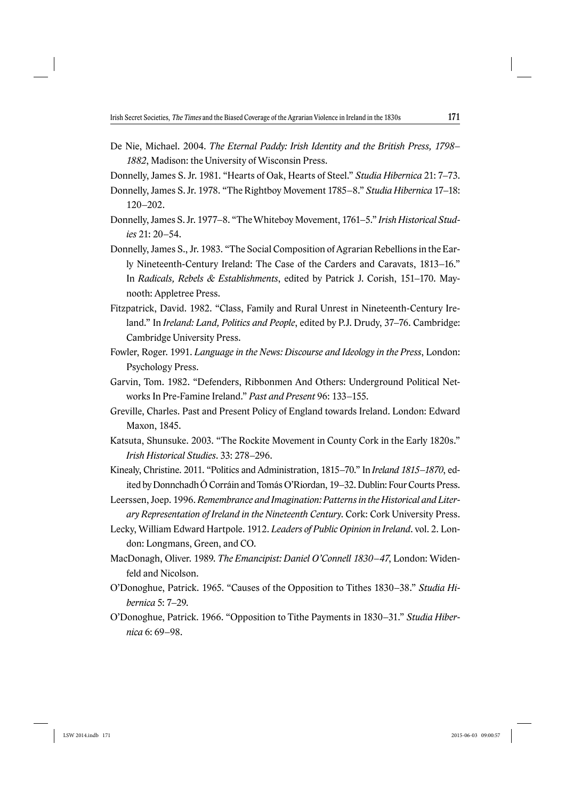- De Nie, Michael. 2004. *The Eternal Paddy: Irish Identity and the British Press, 1798 1882*, Madison: the University of Wisconsin Press.
- Donnelly, James S. Jr. 1981. "Hearts of Oak, Hearts of Steel." *Studia Hibernica* 21: 7–73.
- Donnelly, James S. Jr. 1978. "The Rightboy Movement 1785–8." *Studia Hibernica* 17–18: 120–202.
- Donnelly, James S. Jr. 1977–8. "The Whiteboy Movement, 1761–5." *Irish Historical Studies* 21: 20–54.
- Donnelly, James S., Jr. 1983. "The Social Composition of Agrarian Rebellions in the Early Nineteenth-Century Ireland: The Case of the Carders and Caravats, 1813–16." In *Radicals, Rebels & Establishments*, edited by Patrick J. Corish, 151–170. Maynooth: Appletree Press.
- Fitzpatrick, David. 1982. "Class, Family and Rural Unrest in Nineteenth-Century Ireland." In *Ireland: Land, Politics and People*, edited by P.J. Drudy, 37–76. Cambridge: Cambridge University Press.
- Fowler, Roger. 1991. *Language in the News: Discourse and Ideology in the Press*, London: Psychology Press.
- Garvin, Tom. 1982. "Defenders, Ribbonmen And Others: Underground Political Networks In Pre-Famine Ireland." *Past and Present* 96: 133–155.
- Greville, Charles. Past and Present Policy of England towards Ireland. London: Edward Maxon, 1845.
- Katsuta, Shunsuke. 2003. "The Rockite Movement in County Cork in the Early 1820s." *Irish Historical Studies*. 33: 278–296.
- Kinealy, Christine. 2011. "Politics and Administration, 1815–70." In *Ireland 1815*–*1870*, edited by Donnchadh Ó Corráin and Tomás O'Riordan, 19–32. Dublin: Four Courts Press.
- Leerssen, Joep. 1996. *Remembrance and Imagination: Patterns in the Historical and Literary Representation of Ireland in the Nineteenth Century*. Cork: Cork University Press.
- Lecky, William Edward Hartpole. 1912. *Leaders of Public Opinion in Ireland*. vol. 2. London: Longmans, Green, and CO.
- MacDonagh, Oliver. 1989. *The Emancipist: Daniel O'Connell 1830*–*47*, London: Widenfeld and Nicolson.
- O'Donoghue, Patrick. 1965. "Causes of the Opposition to Tithes 1830–38." *Studia Hibernica* 5: 7–29.
- O'Donoghue, Patrick. 1966. "Opposition to Tithe Payments in 1830–31." *Studia Hibernica* 6: 69–98.